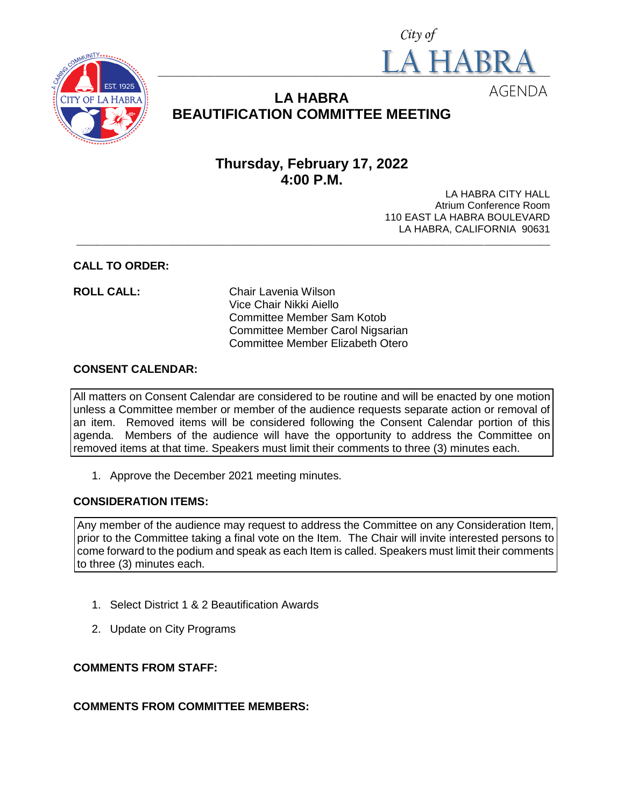



# **LA HABRA BEAUTIFICATION COMMITTEE MEETING**

# **Thursday, February 17, 2022 4:00 P.M.**

LA HABRA CITY HALL Atrium Conference Room 110 EAST LA HABRA BOULEVARD LA HABRA, CALIFORNIA 90631 **\_\_\_\_\_\_\_\_\_\_\_\_\_\_\_\_\_\_\_\_\_\_\_\_\_\_\_\_\_\_\_\_\_\_\_\_\_\_\_\_\_\_\_\_\_\_\_\_\_\_\_\_\_\_\_\_\_\_\_\_\_\_\_\_\_\_\_\_\_\_\_\_\_\_\_\_\_\_\_\_\_\_\_\_\_\_\_\_\_\_\_\_\_**

#### **CALL TO ORDER:**

**ROLL CALL:** Chair Lavenia Wilson Vice Chair Nikki Aiello Committee Member Sam Kotob Committee Member Carol Nigsarian Committee Member Elizabeth Otero

#### **CONSENT CALENDAR:**

All matters on Consent Calendar are considered to be routine and will be enacted by one motion unless a Committee member or member of the audience requests separate action or removal of an item. Removed items will be considered following the Consent Calendar portion of this agenda. Members of the audience will have the opportunity to address the Committee on removed items at that time. Speakers must limit their comments to three (3) minutes each.

1. Approve the December 2021 meeting minutes.

### **CONSIDERATION ITEMS:**

Any member of the audience may request to address the Committee on any Consideration Item, prior to the Committee taking a final vote on the Item. The Chair will invite interested persons to come forward to the podium and speak as each Item is called. Speakers must limit their comments to three (3) minutes each.

- 1. Select District 1 & 2 Beautification Awards
- 2. Update on City Programs

### **COMMENTS FROM STAFF:**

## **COMMENTS FROM COMMITTEE MEMBERS:**